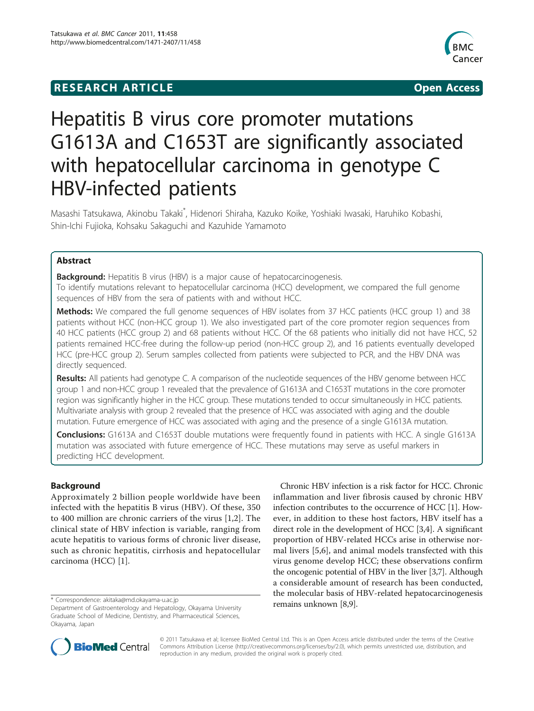## **RESEARCH ARTICLE Example 2014 CONSUMING ACCESS**



# Hepatitis B virus core promoter mutations G1613A and C1653T are significantly associated with hepatocellular carcinoma in genotype C HBV-infected patients

Masashi Tatsukawa, Akinobu Takaki<sup>\*</sup>, Hidenori Shiraha, Kazuko Koike, Yoshiaki Iwasaki, Haruhiko Kobashi, Shin-Ichi Fujioka, Kohsaku Sakaguchi and Kazuhide Yamamoto

### Abstract

**Background:** Hepatitis B virus (HBV) is a major cause of hepatocarcinogenesis. To identify mutations relevant to hepatocellular carcinoma (HCC) development, we compared the full genome sequences of HBV from the sera of patients with and without HCC.

Methods: We compared the full genome sequences of HBV isolates from 37 HCC patients (HCC group 1) and 38 patients without HCC (non-HCC group 1). We also investigated part of the core promoter region sequences from 40 HCC patients (HCC group 2) and 68 patients without HCC. Of the 68 patients who initially did not have HCC, 52 patients remained HCC-free during the follow-up period (non-HCC group 2), and 16 patients eventually developed HCC (pre-HCC group 2). Serum samples collected from patients were subjected to PCR, and the HBV DNA was directly sequenced.

Results: All patients had genotype C. A comparison of the nucleotide sequences of the HBV genome between HCC group 1 and non-HCC group 1 revealed that the prevalence of G1613A and C1653T mutations in the core promoter region was significantly higher in the HCC group. These mutations tended to occur simultaneously in HCC patients. Multivariate analysis with group 2 revealed that the presence of HCC was associated with aging and the double mutation. Future emergence of HCC was associated with aging and the presence of a single G1613A mutation.

**Conclusions:** G1613A and C1653T double mutations were frequently found in patients with HCC. A single G1613A mutation was associated with future emergence of HCC. These mutations may serve as useful markers in predicting HCC development.

#### **Background**

Approximately 2 billion people worldwide have been infected with the hepatitis B virus (HBV). Of these, 350 to 400 million are chronic carriers of the virus [[1,2\]](#page-7-0). The clinical state of HBV infection is variable, ranging from acute hepatitis to various forms of chronic liver disease, such as chronic hepatitis, cirrhosis and hepatocellular carcinoma (HCC) [[1\]](#page-7-0).

Chronic HBV infection is a risk factor for HCC. Chronic inflammation and liver fibrosis caused by chronic HBV infection contributes to the occurrence of HCC [[1\]](#page-7-0). However, in addition to these host factors, HBV itself has a direct role in the development of HCC [[3](#page-7-0),[4](#page-7-0)]. A significant proportion of HBV-related HCCs arise in otherwise normal livers [\[5,6](#page-7-0)], and animal models transfected with this virus genome develop HCC; these observations confirm the oncogenic potential of HBV in the liver [[3](#page-7-0),[7](#page-7-0)]. Although a considerable amount of research has been conducted, the molecular basis of HBV-related hepatocarcinogenesis



© 2011 Tatsukawa et al; licensee BioMed Central Ltd. This is an Open Access article distributed under the terms of the Creative Commons Attribution License [\(http://creativecommons.org/licenses/by/2.0](http://creativecommons.org/licenses/by/2.0)), which permits unrestricted use, distribution, and reproduction in any medium, provided the original work is properly cited.

<sup>\*</sup> Correspondence: [akitaka@md.okayama-u.ac.jp](mailto:akitaka@md.okayama-u.ac.jp)<br>Department of Gastroenterology and Hepatology, Okayama University **remains unknown [\[8,9\]](#page-7-0).** Graduate School of Medicine, Dentistry, and Pharmaceutical Sciences, Okayama, Japan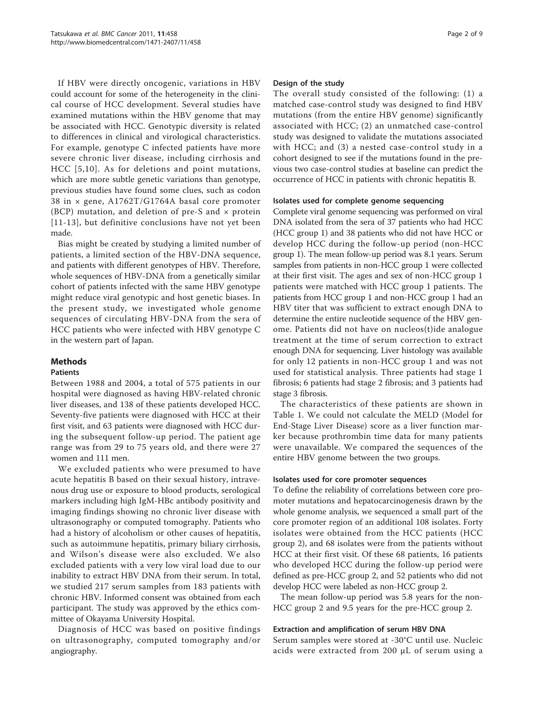If HBV were directly oncogenic, variations in HBV could account for some of the heterogeneity in the clinical course of HCC development. Several studies have examined mutations within the HBV genome that may be associated with HCC. Genotypic diversity is related to differences in clinical and virological characteristics. For example, genotype C infected patients have more severe chronic liver disease, including cirrhosis and HCC [[5](#page-7-0),[10\]](#page-7-0). As for deletions and point mutations, which are more subtle genetic variations than genotype, previous studies have found some clues, such as codon 38 in × gene, A1762T/G1764A basal core promoter (BCP) mutation, and deletion of pre-S and  $\times$  protein [[11-13\]](#page-7-0), but definitive conclusions have not yet been made.

Bias might be created by studying a limited number of patients, a limited section of the HBV-DNA sequence, and patients with different genotypes of HBV. Therefore, whole sequences of HBV-DNA from a genetically similar cohort of patients infected with the same HBV genotype might reduce viral genotypic and host genetic biases. In the present study, we investigated whole genome sequences of circulating HBV-DNA from the sera of HCC patients who were infected with HBV genotype C in the western part of Japan.

#### Methods

#### Patients

Between 1988 and 2004, a total of 575 patients in our hospital were diagnosed as having HBV-related chronic liver diseases, and 138 of these patients developed HCC. Seventy-five patients were diagnosed with HCC at their first visit, and 63 patients were diagnosed with HCC during the subsequent follow-up period. The patient age range was from 29 to 75 years old, and there were 27 women and 111 men.

We excluded patients who were presumed to have acute hepatitis B based on their sexual history, intravenous drug use or exposure to blood products, serological markers including high IgM-HBc antibody positivity and imaging findings showing no chronic liver disease with ultrasonography or computed tomography. Patients who had a history of alcoholism or other causes of hepatitis, such as autoimmune hepatitis, primary biliary cirrhosis, and Wilson's disease were also excluded. We also excluded patients with a very low viral load due to our inability to extract HBV DNA from their serum. In total, we studied 217 serum samples from 183 patients with chronic HBV. Informed consent was obtained from each participant. The study was approved by the ethics committee of Okayama University Hospital.

Diagnosis of HCC was based on positive findings on ultrasonography, computed tomography and/or angiography.

#### Design of the study

The overall study consisted of the following: (1) a matched case-control study was designed to find HBV mutations (from the entire HBV genome) significantly associated with HCC; (2) an unmatched case-control study was designed to validate the mutations associated with HCC; and (3) a nested case-control study in a cohort designed to see if the mutations found in the previous two case-control studies at baseline can predict the occurrence of HCC in patients with chronic hepatitis B.

#### Isolates used for complete genome sequencing

Complete viral genome sequencing was performed on viral DNA isolated from the sera of 37 patients who had HCC (HCC group 1) and 38 patients who did not have HCC or develop HCC during the follow-up period (non-HCC group 1). The mean follow-up period was 8.1 years. Serum samples from patients in non-HCC group 1 were collected at their first visit. The ages and sex of non-HCC group 1 patients were matched with HCC group 1 patients. The patients from HCC group 1 and non-HCC group 1 had an HBV titer that was sufficient to extract enough DNA to determine the entire nucleotide sequence of the HBV genome. Patients did not have on nucleos(t)ide analogue treatment at the time of serum correction to extract enough DNA for sequencing. Liver histology was available for only 12 patients in non-HCC group 1 and was not used for statistical analysis. Three patients had stage 1 fibrosis; 6 patients had stage 2 fibrosis; and 3 patients had stage 3 fibrosis.

The characteristics of these patients are shown in Table [1.](#page-2-0) We could not calculate the MELD (Model for End-Stage Liver Disease) score as a liver function marker because prothrombin time data for many patients were unavailable. We compared the sequences of the entire HBV genome between the two groups.

#### Isolates used for core promoter sequences

To define the reliability of correlations between core promoter mutations and hepatocarcinogenesis drawn by the whole genome analysis, we sequenced a small part of the core promoter region of an additional 108 isolates. Forty isolates were obtained from the HCC patients (HCC group 2), and 68 isolates were from the patients without HCC at their first visit. Of these 68 patients, 16 patients who developed HCC during the follow-up period were defined as pre-HCC group 2, and 52 patients who did not develop HCC were labeled as non-HCC group 2.

The mean follow-up period was 5.8 years for the non-HCC group 2 and 9.5 years for the pre-HCC group 2.

#### Extraction and amplification of serum HBV DNA

Serum samples were stored at -30°C until use. Nucleic acids were extracted from 200 μL of serum using a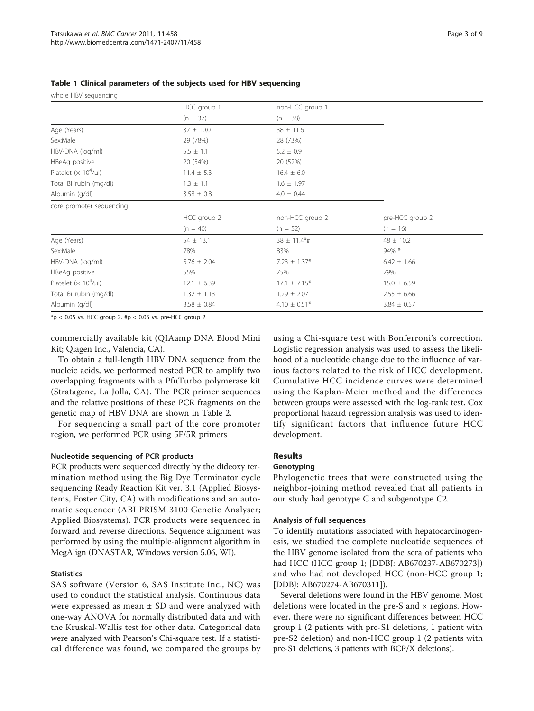| whole HBV sequencing                     |                 |                  |                 |  |
|------------------------------------------|-----------------|------------------|-----------------|--|
|                                          | HCC group 1     | non-HCC group 1  |                 |  |
|                                          | $(n = 37)$      | $(n = 38)$       |                 |  |
| Age (Years)                              | $37 \pm 10.0$   | $38 \pm 11.6$    |                 |  |
| Sex:Male                                 | 29 (78%)        | 28 (73%)         |                 |  |
| HBV-DNA (log/ml)                         | $5.5 \pm 1.1$   | $5.2 \pm 0.9$    |                 |  |
| HBeAg positive                           | 20 (54%)        | 20 (52%)         |                 |  |
| Platelet ( $\times$ 10 <sup>4</sup> /µl) | $11.4 \pm 5.3$  | $16.4 \pm 6.0$   |                 |  |
| Total Bilirubin (mg/dl)                  | $1.3 \pm 1.1$   | $1.6 \pm 1.97$   |                 |  |
| Albumin (g/dl)                           | $3.58 \pm 0.8$  | $4.0 \pm 0.44$   |                 |  |
| core promoter sequencing                 |                 |                  |                 |  |
|                                          | HCC group 2     | non-HCC group 2  | pre-HCC group 2 |  |
|                                          | $(n = 40)$      | $(n = 52)$       | $(n = 16)$      |  |
| Age (Years)                              | $54 \pm 13.1$   | $38 \pm 11.4$ *# | $48 \pm 10.2$   |  |
| Sex:Male                                 | 78%             | 83%              | 94% *           |  |
| HBV-DNA (log/ml)                         | $5.76 \pm 2.04$ | $7.23 \pm 1.37*$ | $6.42 \pm 1.66$ |  |
| HBeAg positive                           | 55%             | 75%              | 79%             |  |
| Platelet $(x 10^4/\mu l)$                | $12.1 \pm 6.39$ | $17.1 \pm 7.15*$ | $15.0 \pm 6.59$ |  |
| Total Bilirubin (mg/dl)                  | $1.32 \pm 1.13$ | $1.29 \pm 2.07$  | $2.55 \pm 6.66$ |  |
| Albumin (g/dl)                           | $3.58 \pm 0.84$ | $4.10 \pm 0.51*$ | $3.84 \pm 0.57$ |  |

<span id="page-2-0"></span>Table 1 Clinical parameters of the subjects used for HBV sequencing

 $*p < 0.05$  vs. HCC group 2, #p < 0.05 vs. pre-HCC group 2

commercially available kit (QIAamp DNA Blood Mini Kit; Qiagen Inc., Valencia, CA).

To obtain a full-length HBV DNA sequence from the nucleic acids, we performed nested PCR to amplify two overlapping fragments with a PfuTurbo polymerase kit (Stratagene, La Jolla, CA). The PCR primer sequences and the relative positions of these PCR fragments on the genetic map of HBV DNA are shown in Table [2](#page-3-0).

For sequencing a small part of the core promoter region, we performed PCR using 5F/5R primers

#### Nucleotide sequencing of PCR products

PCR products were sequenced directly by the dideoxy termination method using the Big Dye Terminator cycle sequencing Ready Reaction Kit ver. 3.1 (Applied Biosystems, Foster City, CA) with modifications and an automatic sequencer (ABI PRISM 3100 Genetic Analyser; Applied Biosystems). PCR products were sequenced in forward and reverse directions. Sequence alignment was performed by using the multiple-alignment algorithm in MegAlign (DNASTAR, Windows version 5.06, WI).

#### **Statistics**

SAS software (Version 6, SAS Institute Inc., NC) was used to conduct the statistical analysis. Continuous data were expressed as mean  $\pm$  SD and were analyzed with one-way ANOVA for normally distributed data and with the Kruskal-Wallis test for other data. Categorical data were analyzed with Pearson's Chi-square test. If a statistical difference was found, we compared the groups by

using a Chi-square test with Bonferroni's correction. Logistic regression analysis was used to assess the likelihood of a nucleotide change due to the influence of various factors related to the risk of HCC development. Cumulative HCC incidence curves were determined using the Kaplan-Meier method and the differences between groups were assessed with the log-rank test. Cox proportional hazard regression analysis was used to identify significant factors that influence future HCC development.

#### Results

#### Genotyping

Phylogenetic trees that were constructed using the neighbor-joining method revealed that all patients in our study had genotype C and subgenotype C2.

#### Analysis of full sequences

To identify mutations associated with hepatocarcinogenesis, we studied the complete nucleotide sequences of the HBV genome isolated from the sera of patients who had HCC (HCC group 1; [DDBJ: AB670237-AB670273]) and who had not developed HCC (non-HCC group 1; [DDBJ: AB670274-AB670311]).

Several deletions were found in the HBV genome. Most deletions were located in the pre-S and  $\times$  regions. However, there were no significant differences between HCC group 1 (2 patients with pre-S1 deletions, 1 patient with pre-S2 deletion) and non-HCC group 1 (2 patients with pre-S1 deletions, 3 patients with BCP/X deletions).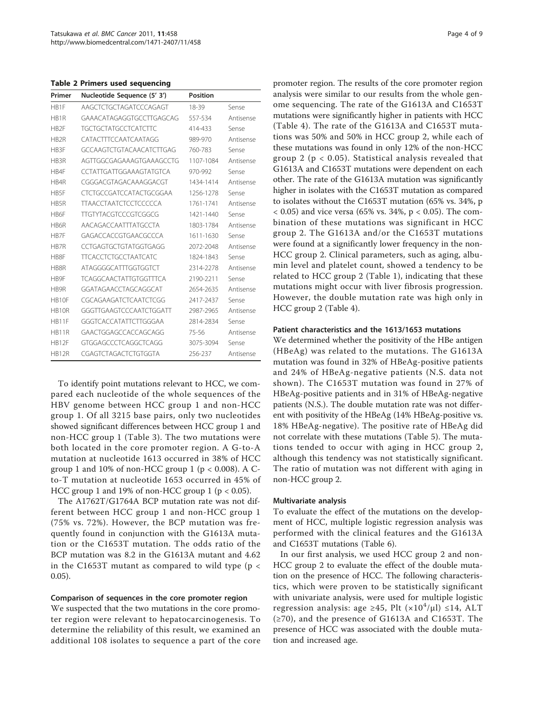<span id="page-3-0"></span>Table 2 Primers used sequencing

| Primer                        | Nucleotide Sequence (5' 3')   | <b>Position</b> |           |
|-------------------------------|-------------------------------|-----------------|-----------|
| HR1F                          | AAGCTCTGCTAGATCCCAGAGT        | 18-39           | Sense     |
| HB1R                          | GAAACATAGAGGTGCCTTGAGCAG      | 557-534         | Antisense |
| HB <sub>2F</sub>              | <b>TGCTGCTATGCCTCATCTTC</b>   | 414-433         | Sense     |
| HB <sub>2R</sub>              | CATACTTTCCAATCAATAGG          | 989-970         | Antisense |
| HB3F                          | GCCAAGTCTGTACAACATCTTGAG      | 760-783         | Sense     |
| HB3R                          | AGTTGGCGAGAAAGTGAAAGCCTG      | 1107-1084       | Antisense |
| HB4F                          | CCTATTGATTGGAAAGTATGTCA       | 970-992         | Sense     |
| HB4R                          | CGGGACGTAGACAAAGGACGT         | 1434-1414       | Antisense |
| HB5F                          | CTCTGCCGATCCATACTGCGGAA       | 1256-1278       | Sense     |
| HB5R                          | <b>TTAACCTAATCTCCTCCCCCA</b>  | 1761-1741       | Antisense |
| HB6F                          | <b>TTGTYTACGTCCCGTCGGCG</b>   | 1421-1440       | Sense     |
| HB6R                          | AACAGACCAATTTATGCCTA          | 1803-1784       | Antisense |
| HB7F                          | GAGACCACCGTGAACGCCCA          | 1611-1630       | Sense     |
| H <sub>B</sub> <sub>7</sub> R | CCTGAGTGCTGTATGGTGAGG         | 2072-2048       | Antisense |
| HB8F                          | <b>TTCACCTCTGCCTAATCATC</b>   | 1824-1843       | Sense     |
| HB8R                          | <b>ATAGGGGCATTTGGTGGTCT</b>   | 2314-2278       | Antisense |
| H <sub>B</sub> 9F             | <b>TCAGGCAACTATTGTGGTTTCA</b> | 2190-2211       | Sense     |
| H <sub>R9</sub> R             | GGATAGAACCTAGCAGGCAT          | 2654-2635       | Antisense |
| HB10F                         | CGCAGAAGATCTCAATCTCGG         | 2417-2437       | Sense     |
| HB <sub>10R</sub>             | GGGTTGAAGTCCCAATCTGGATT       | 2987-2965       | Antisense |
| HB11F                         | GGGTCACCATATTCTTGGGAA         | 2814-2834       | Sense     |
| <b>HR11R</b>                  | GAACTGGAGCCACCAGCAGG          | 75-56           | Antisense |
| HB12F                         | GTGGAGCCCTCAGGCTCAGG          | 3075-3094       | Sense     |
| <b>HB12R</b>                  | CGAGTCTAGACTCTGTGGTA          | 256-237         | Antisense |

To identify point mutations relevant to HCC, we compared each nucleotide of the whole sequences of the HBV genome between HCC group 1 and non-HCC group 1. Of all 3215 base pairs, only two nucleotides showed significant differences between HCC group 1 and non-HCC group 1 (Table [3](#page-4-0)). The two mutations were both located in the core promoter region. A G-to-A mutation at nucleotide 1613 occurred in 38% of HCC group 1 and 10% of non-HCC group 1 ( $p < 0.008$ ). A Cto-T mutation at nucleotide 1653 occurred in 45% of HCC group 1 and 19% of non-HCC group 1 ( $p < 0.05$ ).

The A1762T/G1764A BCP mutation rate was not different between HCC group 1 and non-HCC group 1 (75% vs. 72%). However, the BCP mutation was frequently found in conjunction with the G1613A mutation or the C1653T mutation. The odds ratio of the BCP mutation was 8.2 in the G1613A mutant and 4.62 in the C1653T mutant as compared to wild type ( $p <$ 0.05).

#### Comparison of sequences in the core promoter region

We suspected that the two mutations in the core promoter region were relevant to hepatocarcinogenesis. To determine the reliability of this result, we examined an additional 108 isolates to sequence a part of the core promoter region. The results of the core promoter region analysis were similar to our results from the whole genome sequencing. The rate of the G1613A and C1653T mutations were significantly higher in patients with HCC (Table [4\)](#page-4-0). The rate of the G1613A and C1653T mutations was 50% and 50% in HCC group 2, while each of these mutations was found in only 12% of the non-HCC group 2 ( $p < 0.05$ ). Statistical analysis revealed that G1613A and C1653T mutations were dependent on each other. The rate of the G1613A mutation was significantly higher in isolates with the C1653T mutation as compared to isolates without the C1653T mutation (65% vs. 34%, p  $< 0.05$ ) and vice versa (65% vs. 34%, p  $< 0.05$ ). The combination of these mutations was significant in HCC group 2. The G1613A and/or the C1653T mutations were found at a significantly lower frequency in the non-HCC group 2. Clinical parameters, such as aging, albumin level and platelet count, showed a tendency to be related to HCC group 2 (Table [1\)](#page-2-0), indicating that these mutations might occur with liver fibrosis progression. However, the double mutation rate was high only in HCC group 2 (Table [4](#page-4-0)).

#### Patient characteristics and the 1613/1653 mutations

We determined whether the positivity of the HBe antigen (HBeAg) was related to the mutations. The G1613A mutation was found in 32% of HBeAg-positive patients and 24% of HBeAg-negative patients (N.S. data not shown). The C1653T mutation was found in 27% of HBeAg-positive patients and in 31% of HBeAg-negative patients (N.S.). The double mutation rate was not different with positivity of the HBeAg (14% HBeAg-positive vs. 18% HBeAg-negative). The positive rate of HBeAg did not correlate with these mutations (Table [5\)](#page-5-0). The mutations tended to occur with aging in HCC group 2, although this tendency was not statistically significant. The ratio of mutation was not different with aging in non-HCC group 2.

#### Multivariate analysis

To evaluate the effect of the mutations on the development of HCC, multiple logistic regression analysis was performed with the clinical features and the G1613A and C1653T mutations (Table [6](#page-5-0)).

In our first analysis, we used HCC group 2 and non-HCC group 2 to evaluate the effect of the double mutation on the presence of HCC. The following characteristics, which were proven to be statistically significant with univariate analysis, were used for multiple logistic regression analysis: age ≥45, Plt  $(x10^4/\mu l)$  ≤14, ALT (≥70), and the presence of G1613A and C1653T. The presence of HCC was associated with the double mutation and increased age.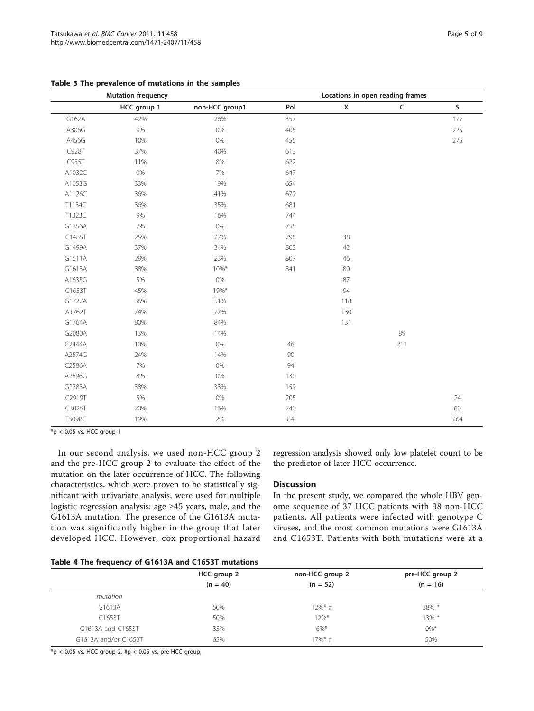|        | <b>Mutation frequency</b> | Locations in open reading frames |        |                    |             |         |
|--------|---------------------------|----------------------------------|--------|--------------------|-------------|---------|
|        | HCC group 1               | non-HCC group1                   | Pol    | $\pmb{\mathsf{X}}$ | $\mathsf C$ | $\sf S$ |
| G162A  | 42%                       | 26%                              | 357    |                    |             | 177     |
| A306G  | $9\%$                     | $0\%$                            | 405    |                    |             | 225     |
| A456G  | 10%                       | 0%                               | 455    |                    |             | 275     |
| C928T  | 37%                       | 40%                              | 613    |                    |             |         |
| C955T  | 11%                       | 8%                               | 622    |                    |             |         |
| A1032C | 0%                        | 7%                               | 647    |                    |             |         |
| A1053G | 33%                       | 19%                              | 654    |                    |             |         |
| A1126C | 36%                       | 41%                              | 679    |                    |             |         |
| T1134C | 36%                       | 35%                              | 681    |                    |             |         |
| T1323C | 9%                        | 16%                              | 744    |                    |             |         |
| G1356A | 7%                        | $0\%$                            | 755    |                    |             |         |
| C1485T | 25%                       | 27%                              | 798    | 38                 |             |         |
| G1499A | 37%                       | 34%                              | 803    | 42                 |             |         |
| G1511A | 29%                       | 23%                              | 807    | 46                 |             |         |
| G1613A | 38%                       | $10\%*$                          | 841    | 80                 |             |         |
| A1633G | 5%                        | $0\%$                            |        | 87                 |             |         |
| C1653T | 45%                       | 19%*                             |        | 94                 |             |         |
| G1727A | 36%                       | 51%                              |        | 118                |             |         |
| A1762T | 74%                       | 77%                              |        | 130                |             |         |
| G1764A | 80%                       | 84%                              |        | 131                |             |         |
| G2080A | 13%                       | 14%                              |        |                    | 89          |         |
| C2444A | 10%                       | $0\%$                            | 46     |                    | 211         |         |
| A2574G | 24%                       | 14%                              | $90\,$ |                    |             |         |
| C2586A | 7%                        | 0%                               | 94     |                    |             |         |
| A2696G | 8%                        | $0\%$                            | 130    |                    |             |         |
| G2783A | 38%                       | 33%                              | 159    |                    |             |         |
| C2919T | 5%                        | $0\%$                            | 205    |                    |             | 24      |
| C3026T | 20%                       | 16%                              | 240    |                    |             | 60      |
| T3098C | 19%                       | 2%                               | 84     |                    |             | 264     |

<span id="page-4-0"></span>Table 3 The prevalence of mutations in the samples

 $*p < 0.05$  vs. HCC group 1

In our second analysis, we used non-HCC group 2 and the pre-HCC group 2 to evaluate the effect of the mutation on the later occurrence of HCC. The following characteristics, which were proven to be statistically significant with univariate analysis, were used for multiple logistic regression analysis: age ≥45 years, male, and the G1613A mutation. The presence of the G1613A mutation was significantly higher in the group that later developed HCC. However, cox proportional hazard

regression analysis showed only low platelet count to be the predictor of later HCC occurrence.

#### **Discussion**

In the present study, we compared the whole HBV genome sequence of 37 HCC patients with 38 non-HCC patients. All patients were infected with genotype C viruses, and the most common mutations were G1613A and C1653T. Patients with both mutations were at a

#### Table 4 The frequency of G1613A and C1653T mutations

|                      | HCC group 2 | non-HCC group 2 | pre-HCC group 2 |
|----------------------|-------------|-----------------|-----------------|
|                      | $(n = 40)$  | $(n = 52)$      | $(n = 16)$      |
| mutation             |             |                 |                 |
| G1613A               | 50%         | $12\%$ * #      | $38\%$ *        |
| C1653T               | 50%         | $12\%$ *        | $13\%$ *        |
| G1613A and C1653T    | 35%         | $6\%$ *         | $0\%*$          |
| G1613A and/or C1653T | 65%         | $17\%$ * #      | 50%             |

 $*p < 0.05$  vs. HCC group 2, #p < 0.05 vs. pre-HCC group,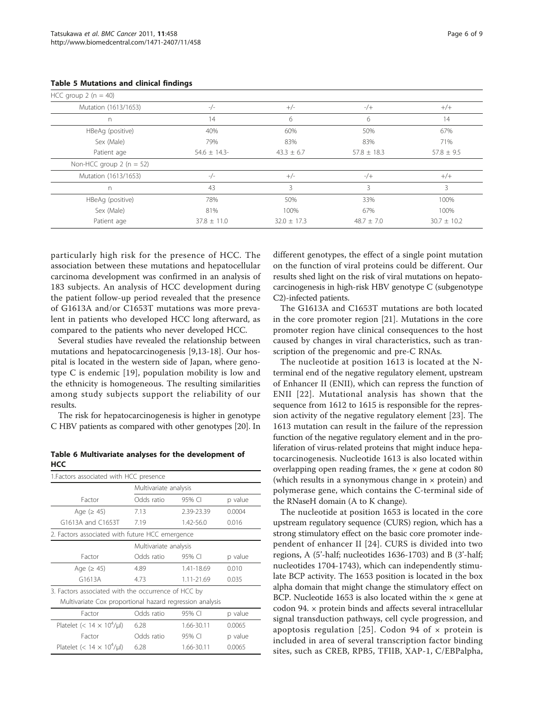| HCC group $2(n = 40)$     |                 |                 |                          |                |
|---------------------------|-----------------|-----------------|--------------------------|----------------|
| Mutation (1613/1653)      | $-/-$           | $+/-$           | $-/+$                    | $+/+$          |
| n                         | 14              | 6               | h                        | 14             |
| HBeAg (positive)          | 40%             | 60%             | 50%                      | 67%            |
| Sex (Male)                | 79%             | 83%             | 83%                      | 71%            |
| Patient age               | $54.6 \pm 14.3$ | $43.3 \pm 6.7$  | $57.8 \pm 18.3$          | $57.8 \pm 9.5$ |
| Non-HCC group $2(n = 52)$ |                 |                 |                          |                |
| Mutation (1613/1653)      | $-/-$           | $+/-$           | $-/+$                    | $+/+$          |
| n                         | 43              | 3               | $\overline{\mathcal{R}}$ | 3              |
| HBeAg (positive)          | 78%             | 50%             | 33%                      | 100%           |
| Sex (Male)                | 81%             | 100%            | 67%                      | 100%           |
| Patient age               | $37.8 \pm 11.0$ | $32.0 \pm 17.3$ | $48.7 \pm 7.0$           | $30.7 + 10.2$  |

#### <span id="page-5-0"></span>Table 5 Mutations and clinical findings

particularly high risk for the presence of HCC. The association between these mutations and hepatocellular carcinoma development was confirmed in an analysis of 183 subjects. An analysis of HCC development during the patient follow-up period revealed that the presence of G1613A and/or C1653T mutations was more prevalent in patients who developed HCC long afterward, as compared to the patients who never developed HCC.

Several studies have revealed the relationship between mutations and hepatocarcinogenesis [\[9](#page-7-0),[13-18\]](#page-7-0). Our hospital is located in the western side of Japan, where genotype C is endemic [\[19\]](#page-7-0), population mobility is low and the ethnicity is homogeneous. The resulting similarities among study subjects support the reliability of our results.

The risk for hepatocarcinogenesis is higher in genotype C HBV patients as compared with other genotypes [[20](#page-7-0)]. In

Table 6 Multivariate analyses for the development of  $H_{cc}$ 

| 1. Factors associated with HCC presence                  |                                                 |            |         |  |  |  |
|----------------------------------------------------------|-------------------------------------------------|------------|---------|--|--|--|
|                                                          | Multivariate analysis                           |            |         |  |  |  |
| Factor                                                   | Odds ratio                                      | 95% CI     | p value |  |  |  |
| Age ( $\geq 45$ )                                        | 7.13                                            | 2.39-23.39 | 0.0004  |  |  |  |
| G1613A and C1653T                                        | 7.19                                            | 1.42-56.0  | 0.016   |  |  |  |
|                                                          | 2. Factors associated with future HCC emergence |            |         |  |  |  |
|                                                          | Multivariate analysis                           |            |         |  |  |  |
| Factor                                                   | Odds ratio                                      | 95% CI     | p value |  |  |  |
| Age ( $\geq 45$ )                                        | 4.89                                            | 1.41-18.69 | 0.010   |  |  |  |
| G1613A                                                   | 4.73                                            | 1.11-21.69 | 0.035   |  |  |  |
| 3. Factors associated with the occurrence of HCC by      |                                                 |            |         |  |  |  |
| Multivariate Cox proportional hazard regression analysis |                                                 |            |         |  |  |  |
| Factor                                                   | Odds ratio                                      | 95% CI     | p value |  |  |  |
| Platelet (< $14 \times 10^4$ /µl)                        | 6.28                                            | 1.66-30.11 | 0.0065  |  |  |  |
| Factor                                                   | Odds ratio                                      | 95% CI     | p value |  |  |  |
| Platelet (< $14 \times 10^4$ /µl)                        | 6.28                                            | 1.66-30.11 | 0.0065  |  |  |  |

different genotypes, the effect of a single point mutation on the function of viral proteins could be different. Our results shed light on the risk of viral mutations on hepatocarcinogenesis in high-risk HBV genotype C (subgenotype C2)-infected patients.

The G1613A and C1653T mutations are both located in the core promoter region [[21\]](#page-7-0). Mutations in the core promoter region have clinical consequences to the host caused by changes in viral characteristics, such as transcription of the pregenomic and pre-C RNAs.

The nucleotide at position 1613 is located at the Nterminal end of the negative regulatory element, upstream of Enhancer II (ENII), which can repress the function of ENII [[22\]](#page-7-0). Mutational analysis has shown that the sequence from 1612 to 1615 is responsible for the repression activity of the negative regulatory element [[23\]](#page-8-0). The 1613 mutation can result in the failure of the repression function of the negative regulatory element and in the proliferation of virus-related proteins that might induce hepatocarcinogenesis. Nucleotide 1613 is also located within overlapping open reading frames, the  $\times$  gene at codon 80 (which results in a synonymous change in  $\times$  protein) and polymerase gene, which contains the C-terminal side of the RNaseH domain (A to K change).

The nucleotide at position 1653 is located in the core upstream regulatory sequence (CURS) region, which has a strong stimulatory effect on the basic core promoter independent of enhancer II [[24\]](#page-8-0). CURS is divided into two regions, A (5'-half; nucleotides 1636-1703) and B (3'-half; nucleotides 1704-1743), which can independently stimulate BCP activity. The 1653 position is located in the box alpha domain that might change the stimulatory effect on BCP. Nucleotide 1653 is also located within the  $\times$  gene at codon 94. × protein binds and affects several intracellular signal transduction pathways, cell cycle progression, and apoptosis regulation [[25\]](#page-8-0). Codon 94 of  $\times$  protein is included in area of several transcription factor binding sites, such as CREB, RPB5, TFIIB, XAP-1, C/EBPalpha,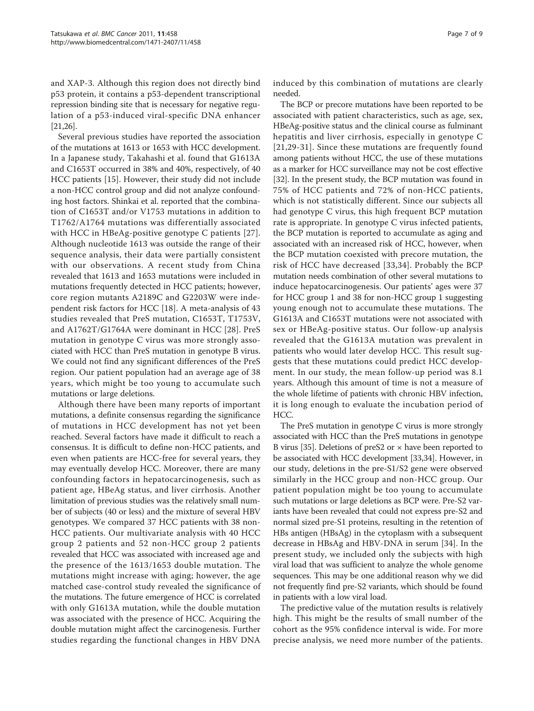and XAP-3. Although this region does not directly bind p53 protein, it contains a p53-dependent transcriptional repression binding site that is necessary for negative regulation of a p53-induced viral-specific DNA enhancer [[21](#page-7-0)[,26\]](#page-8-0).

Several previous studies have reported the association of the mutations at 1613 or 1653 with HCC development. In a Japanese study, Takahashi et al. found that G1613A and C1653T occurred in 38% and 40%, respectively, of 40 HCC patients [\[15](#page-7-0)]. However, their study did not include a non-HCC control group and did not analyze confounding host factors. Shinkai et al. reported that the combination of C1653T and/or V1753 mutations in addition to T1762/A1764 mutations was differentially associated with HCC in HBeAg-positive genotype C patients [[27\]](#page-8-0). Although nucleotide 1613 was outside the range of their sequence analysis, their data were partially consistent with our observations. A recent study from China revealed that 1613 and 1653 mutations were included in mutations frequently detected in HCC patients; however, core region mutants A2189C and G2203W were independent risk factors for HCC [\[18](#page-7-0)]. A meta-analysis of 43 studies revealed that PreS mutation, C1653T, T1753V, and A1762T/G1764A were dominant in HCC [\[28](#page-8-0)]. PreS mutation in genotype C virus was more strongly associated with HCC than PreS mutation in genotype B virus. We could not find any significant differences of the PreS region. Our patient population had an average age of 38 years, which might be too young to accumulate such mutations or large deletions.

Although there have been many reports of important mutations, a definite consensus regarding the significance of mutations in HCC development has not yet been reached. Several factors have made it difficult to reach a consensus. It is difficult to define non-HCC patients, and even when patients are HCC-free for several years, they may eventually develop HCC. Moreover, there are many confounding factors in hepatocarcinogenesis, such as patient age, HBeAg status, and liver cirrhosis. Another limitation of previous studies was the relatively small number of subjects (40 or less) and the mixture of several HBV genotypes. We compared 37 HCC patients with 38 non-HCC patients. Our multivariate analysis with 40 HCC group 2 patients and 52 non-HCC group 2 patients revealed that HCC was associated with increased age and the presence of the 1613/1653 double mutation. The mutations might increase with aging; however, the age matched case-control study revealed the significance of the mutations. The future emergence of HCC is correlated with only G1613A mutation, while the double mutation was associated with the presence of HCC. Acquiring the double mutation might affect the carcinogenesis. Further studies regarding the functional changes in HBV DNA induced by this combination of mutations are clearly needed.

The BCP or precore mutations have been reported to be associated with patient characteristics, such as age, sex, HBeAg-positive status and the clinical course as fulminant hepatitis and liver cirrhosis, especially in genotype C [[21](#page-7-0),[29-31\]](#page-8-0). Since these mutations are frequently found among patients without HCC, the use of these mutations as a marker for HCC surveillance may not be cost effective [[32](#page-8-0)]. In the present study, the BCP mutation was found in 75% of HCC patients and 72% of non-HCC patients, which is not statistically different. Since our subjects all had genotype C virus, this high frequent BCP mutation rate is appropriate. In genotype C virus infected patients, the BCP mutation is reported to accumulate as aging and associated with an increased risk of HCC, however, when the BCP mutation coexisted with precore mutation, the risk of HCC have decreased [[33](#page-8-0),[34\]](#page-8-0). Probably the BCP mutation needs combination of other several mutations to induce hepatocarcinogenesis. Our patients' ages were 37 for HCC group 1 and 38 for non-HCC group 1 suggesting young enough not to accumulate these mutations. The G1613A and C1653T mutations were not associated with sex or HBeAg-positive status. Our follow-up analysis revealed that the G1613A mutation was prevalent in patients who would later develop HCC. This result suggests that these mutations could predict HCC development. In our study, the mean follow-up period was 8.1 years. Although this amount of time is not a measure of the whole lifetime of patients with chronic HBV infection, it is long enough to evaluate the incubation period of HCC.

The PreS mutation in genotype C virus is more strongly associated with HCC than the PreS mutations in genotype B virus [\[35\]](#page-8-0). Deletions of preS2 or  $\times$  have been reported to be associated with HCC development [[33](#page-8-0),[34](#page-8-0)]. However, in our study, deletions in the pre-S1/S2 gene were observed similarly in the HCC group and non-HCC group. Our patient population might be too young to accumulate such mutations or large deletions as BCP were. Pre-S2 variants have been revealed that could not express pre-S2 and normal sized pre-S1 proteins, resulting in the retention of HBs antigen (HBsAg) in the cytoplasm with a subsequent decrease in HBsAg and HBV-DNA in serum [\[34](#page-8-0)]. In the present study, we included only the subjects with high viral load that was sufficient to analyze the whole genome sequences. This may be one additional reason why we did not frequently find pre-S2 variants, which should be found in patients with a low viral load.

The predictive value of the mutation results is relatively high. This might be the results of small number of the cohort as the 95% confidence interval is wide. For more precise analysis, we need more number of the patients.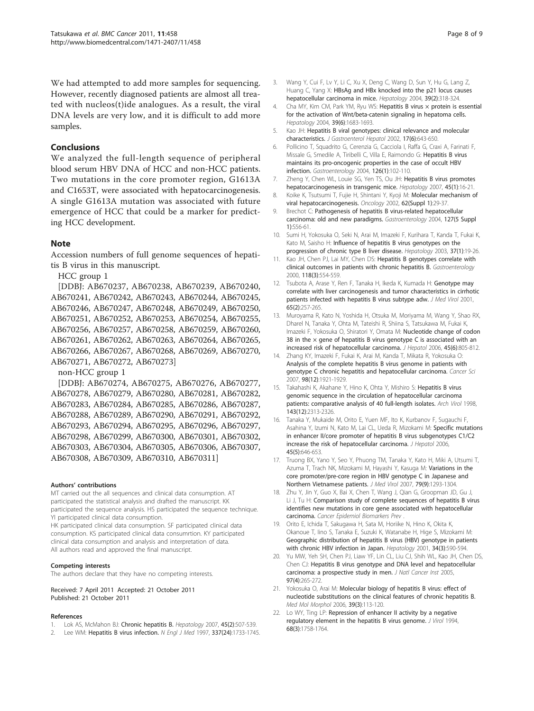<span id="page-7-0"></span>We had attempted to add more samples for sequencing. However, recently diagnosed patients are almost all treated with nucleos(t)ide analogues. As a result, the viral DNA levels are very low, and it is difficult to add more samples.

#### Conclusions

We analyzed the full-length sequence of peripheral blood serum HBV DNA of HCC and non-HCC patients. Two mutations in the core promoter region, G1613A and C1653T, were associated with hepatocarcinogenesis. A single G1613A mutation was associated with future emergence of HCC that could be a marker for predicting HCC development.

#### Note

Accession numbers of full genome sequences of hepatitis B virus in this manuscript.

HCC group 1

[DDBJ: AB670237, AB670238, AB670239, AB670240, AB670241, AB670242, AB670243, AB670244, AB670245, AB670246, AB670247, AB670248, AB670249, AB670250, AB670251, AB670252, AB670253, AB670254, AB670255, AB670256, AB670257, AB670258, AB670259, AB670260, AB670261, AB670262, AB670263, AB670264, AB670265, AB670266, AB670267, AB670268, AB670269, AB670270, AB670271, AB670272, AB670273]

non-HCC group 1

[DDBJ: AB670274, AB670275, AB670276, AB670277, AB670278, AB670279, AB670280, AB670281, AB670282, AB670283, AB670284, AB670285, AB670286, AB670287, AB670288, AB670289, AB670290, AB670291, AB670292, AB670293, AB670294, AB670295, AB670296, AB670297, AB670298, AB670299, AB670300, AB670301, AB670302, AB670303, AB670304, AB670305, AB670306, AB670307, AB670308, AB670309, AB670310, AB670311]

#### Authors' contributions

MT carried out the all sequences and clinical data consumption. AT participated the statistical analysis and drafted the manuscript. KK participated the sequence analysis. HS participated the sequence technique. YI participated clinical data consumption. HK participated clinical data consumption. SF participated clinical data

consumption. KS participated clinical data consumrtion. KY participated clinical data consumption and analysis and interpretation of data. All authors read and approved the final manuscript.

#### Competing interests

The authors declare that they have no competing interests.

Received: 7 April 2011 Accepted: 21 October 2011 Published: 21 October 2011

#### References

- Lok AS, McMahon BJ: [Chronic hepatitis B.](http://www.ncbi.nlm.nih.gov/pubmed/17256718?dopt=Abstract) Hepatology 2007, 45(2):507-539.
- 2. Lee WM: [Hepatitis B virus infection.](http://www.ncbi.nlm.nih.gov/pubmed/9392700?dopt=Abstract) N Engl J Med 1997, 337(24):1733-1745.
- 3. Wang Y, Cui F, Lv Y, Li C, Xu X, Deng C, Wang D, Sun Y, Hu G, Lang Z, Huang C, Yang X: [HBsAg and HBx knocked into the p21 locus causes](http://www.ncbi.nlm.nih.gov/pubmed/14767984?dopt=Abstract) [hepatocellular carcinoma in mice.](http://www.ncbi.nlm.nih.gov/pubmed/14767984?dopt=Abstract) Hepatology 2004, 39(2):318-324.
- 4. Cha MY, Kim CM, Park YM, Ryu WS: Hepatitis B virus x protein is essential [for the activation of Wnt/beta-catenin signaling in hepatoma cells.](http://www.ncbi.nlm.nih.gov/pubmed/15185310?dopt=Abstract) Hepatology 2004, 39(6):1683-1693.
- 5. Kao JH: [Hepatitis B viral genotypes: clinical relevance and molecular](http://www.ncbi.nlm.nih.gov/pubmed/12100608?dopt=Abstract) [characteristics.](http://www.ncbi.nlm.nih.gov/pubmed/12100608?dopt=Abstract) J Gastroenterol Hepatol 2002, 17(6):643-650.
- 6. Pollicino T, Squadrito G, Cerenzia G, Cacciola I, Raffa G, Craxi A, Farinati F, Missale G, Smedile A, Tiribelli C, Villa E, Raimondo G: [Hepatitis B virus](http://www.ncbi.nlm.nih.gov/pubmed/14699492?dopt=Abstract) [maintains its pro-oncogenic properties in the case of occult HBV](http://www.ncbi.nlm.nih.gov/pubmed/14699492?dopt=Abstract) [infection.](http://www.ncbi.nlm.nih.gov/pubmed/14699492?dopt=Abstract) Gastroenterology 2004, 126(1):102-110.
- 7. Zheng Y, Chen WL, Louie SG, Yen TS, Ou JH: [Hepatitis B virus promotes](http://www.ncbi.nlm.nih.gov/pubmed/17187428?dopt=Abstract) [hepatocarcinogenesis in transgenic mice.](http://www.ncbi.nlm.nih.gov/pubmed/17187428?dopt=Abstract) Hepatology 2007, 45(1):16-21.
- 8. Koike K, Tsutsumi T, Fujie H, Shintani Y, Kyoji M: [Molecular mechanism of](http://www.ncbi.nlm.nih.gov/pubmed/11868782?dopt=Abstract) [viral hepatocarcinogenesis.](http://www.ncbi.nlm.nih.gov/pubmed/11868782?dopt=Abstract) Oncology 2002, 62(Suppl 1):29-37.
- 9. Brechot C: [Pathogenesis of hepatitis B virus-related hepatocellular](http://www.ncbi.nlm.nih.gov/pubmed/15508104?dopt=Abstract) [carcinoma: old and new paradigms.](http://www.ncbi.nlm.nih.gov/pubmed/15508104?dopt=Abstract) Gastroenterology 2004, 127(5 Suppl 1):S56-61.
- 10. Sumi H, Yokosuka O, Seki N, Arai M, Imazeki F, Kurihara T, Kanda T, Fukai K, Kato M, Saisho H: [Influence of hepatitis B virus genotypes on the](http://www.ncbi.nlm.nih.gov/pubmed/12500184?dopt=Abstract) [progression of chronic type B liver disease.](http://www.ncbi.nlm.nih.gov/pubmed/12500184?dopt=Abstract) Hepatology 2003, 37(1):19-26.
- 11. Kao JH, Chen PJ, Lai MY, Chen DS: [Hepatitis B genotypes correlate with](http://www.ncbi.nlm.nih.gov/pubmed/10702206?dopt=Abstract) [clinical outcomes in patients with chronic hepatitis B.](http://www.ncbi.nlm.nih.gov/pubmed/10702206?dopt=Abstract) Gastroenterology 2000, 118(3):554-559.
- 12. Tsubota A, Arase Y, Ren F, Tanaka H, Ikeda K, Kumada H: [Genotype may](http://www.ncbi.nlm.nih.gov/pubmed/11536231?dopt=Abstract) [correlate with liver carcinogenesis and tumor characteristics in cirrhotic](http://www.ncbi.nlm.nih.gov/pubmed/11536231?dopt=Abstract) [patients infected with hepatitis B virus subtype adw.](http://www.ncbi.nlm.nih.gov/pubmed/11536231?dopt=Abstract) J Med Virol 2001, 65(2):257-265.
- 13. Muroyama R, Kato N, Yoshida H, Otsuka M, Moriyama M, Wang Y, Shao RX, Dharel N, Tanaka Y, Ohta M, Tateishi R, Shiina S, Tatsukawa M, Fukai K, Imazeki F, Yokosuka O, Shiratori Y, Omata M: [Nucleotide change of codon](http://www.ncbi.nlm.nih.gov/pubmed/17050029?dopt=Abstract) 38 in the  $\times$  gene of hepatitis B virus genotype C is associated with an [increased risk of hepatocellular carcinoma.](http://www.ncbi.nlm.nih.gov/pubmed/17050029?dopt=Abstract) J Hepatol 2006, 45(6):805-812.
- 14. Zhang KY, Imazeki F, Fukai K, Arai M, Kanda T, Mikata R, Yokosuka O: [Analysis of the complete hepatitis B virus genome in patients with](http://www.ncbi.nlm.nih.gov/pubmed/17888035?dopt=Abstract) [genotype C chronic hepatitis and hepatocellular carcinoma.](http://www.ncbi.nlm.nih.gov/pubmed/17888035?dopt=Abstract) Cancer Sci 2007, 98(12):1921-1929.
- 15. Takahashi K, Akahane Y, Hino K, Ohta Y, Mishiro S: [Hepatitis B virus](http://www.ncbi.nlm.nih.gov/pubmed/9930189?dopt=Abstract) [genomic sequence in the circulation of hepatocellular carcinoma](http://www.ncbi.nlm.nih.gov/pubmed/9930189?dopt=Abstract) [patients: comparative analysis of 40 full-length isolates.](http://www.ncbi.nlm.nih.gov/pubmed/9930189?dopt=Abstract) Arch Virol 1998, 143(12):2313-2326.
- 16. Tanaka Y, Mukaide M, Orito E, Yuen MF, Ito K, Kurbanov F, Sugauchi F, Asahina Y, Izumi N, Kato M, Lai CL, Ueda R, Mizokami M: [Specific mutations](http://www.ncbi.nlm.nih.gov/pubmed/16935384?dopt=Abstract) [in enhancer II/core promoter of hepatitis B virus subgenotypes C1/C2](http://www.ncbi.nlm.nih.gov/pubmed/16935384?dopt=Abstract) [increase the risk of hepatocellular carcinoma.](http://www.ncbi.nlm.nih.gov/pubmed/16935384?dopt=Abstract) J Hepatol 2006, 45(5):646-653.
- 17. Truong BX, Yano Y, Seo Y, Phuong TM, Tanaka Y, Kato H, Miki A, Utsumi T, Azuma T, Trach NK, Mizokami M, Hayashi Y, Kasuga M: [Variations in the](http://www.ncbi.nlm.nih.gov/pubmed/17607788?dopt=Abstract) [core promoter/pre-core region in HBV genotype C in Japanese and](http://www.ncbi.nlm.nih.gov/pubmed/17607788?dopt=Abstract) [Northern Vietnamese patients.](http://www.ncbi.nlm.nih.gov/pubmed/17607788?dopt=Abstract) J Med Virol 2007, 79(9):1293-1304.
- 18. Zhu Y, Jin Y, Guo X, Bai X, Chen T, Wang J, Qian G, Groopman JD, Gu J, Li J, Tu H: Comparison study of complete sequences of hepatitis B virus identifies new mutations in core gene associated with hepatocellular carcinoma. Cancer Epidemiol Biomarkers Prev
- 19. Orito E, Ichida T, Sakugawa H, Sata M, Horiike N, Hino K, Okita K, Okanoue T, Iino S, Tanaka E, Suzuki K, Watanabe H, Hige S, Mizokami M: [Geographic distribution of hepatitis B virus \(HBV\) genotype in patients](http://www.ncbi.nlm.nih.gov/pubmed/11526547?dopt=Abstract) [with chronic HBV infection in Japan.](http://www.ncbi.nlm.nih.gov/pubmed/11526547?dopt=Abstract) Hepatology 2001, 34(3):590-594.
- 20. Yu MW, Yeh SH, Chen PJ, Liaw YF, Lin CL, Liu CJ, Shih WL, Kao JH, Chen DS, Chen CJ: [Hepatitis B virus genotype and DNA level and hepatocellular](http://www.ncbi.nlm.nih.gov/pubmed/15713961?dopt=Abstract) [carcinoma: a prospective study in men.](http://www.ncbi.nlm.nih.gov/pubmed/15713961?dopt=Abstract) J Natl Cancer Inst 2005, 97(4):265-272.
- 21. Yokosuka O, Arai M: [Molecular biology of hepatitis B virus: effect of](http://www.ncbi.nlm.nih.gov/pubmed/16998621?dopt=Abstract) [nucleotide substitutions on the clinical features of chronic hepatitis B.](http://www.ncbi.nlm.nih.gov/pubmed/16998621?dopt=Abstract) Med Mol Morphol 2006, 39(3):113-120.
- 22. Lo WY, Ting LP: [Repression of enhancer II activity by a negative](http://www.ncbi.nlm.nih.gov/pubmed/8107237?dopt=Abstract) [regulatory element in the hepatitis B virus genome.](http://www.ncbi.nlm.nih.gov/pubmed/8107237?dopt=Abstract) J Virol 1994, 68(3):1758-1764.